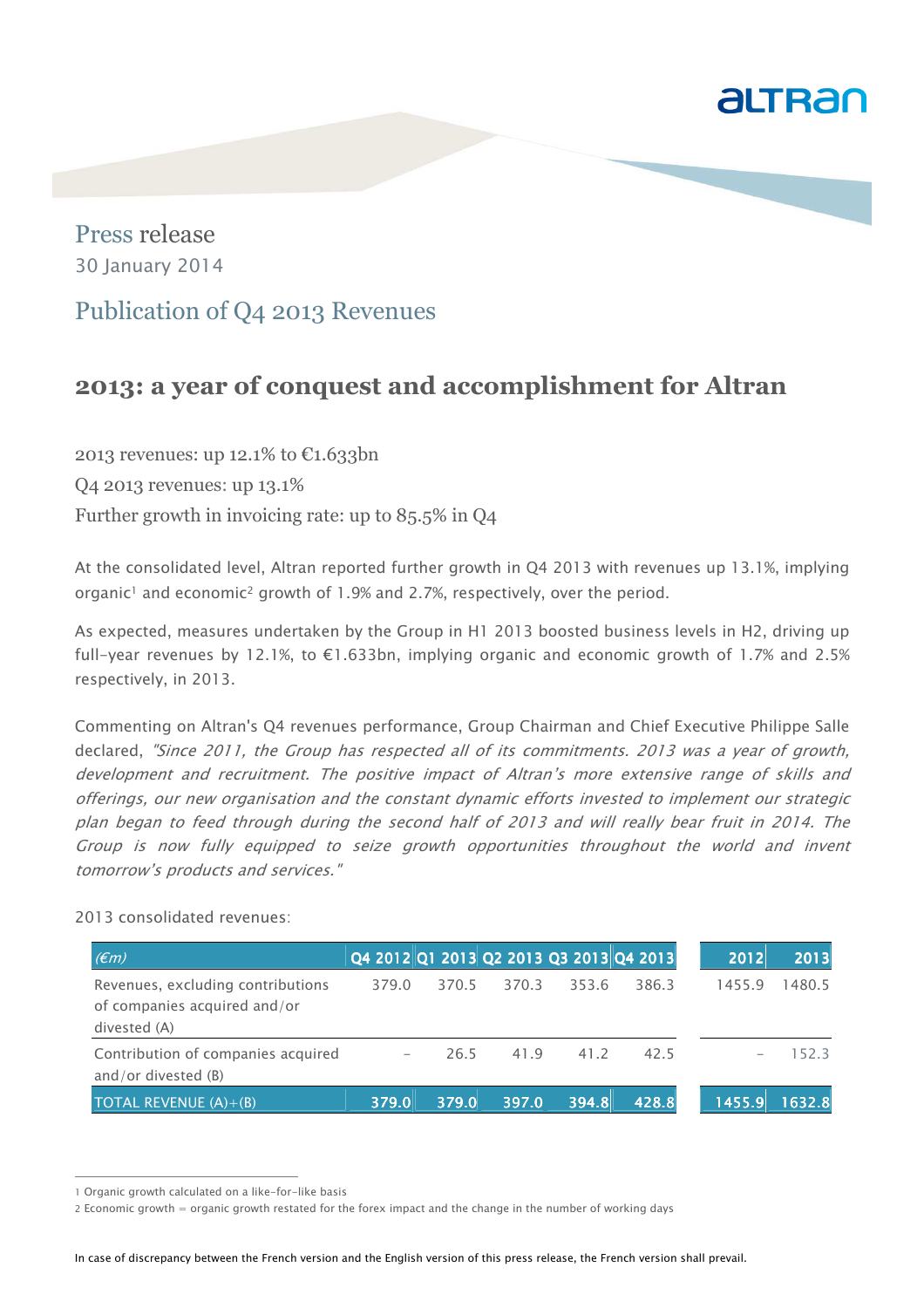

Press release 30 January 2014

## Publication of Q4 2013 Revenues

# **2013: a year of conquest and accomplishment for Altran**

2013 revenues: up 12.1% to €1.633bn Q4 2013 revenues: up 13.1% Further growth in invoicing rate: up to 85.5% in Q4

At the consolidated level, Altran reported further growth in Q4 2013 with revenues up 13.1%, implying organic<sup>1</sup> and economic<sup>2</sup> growth of 1.9% and 2.7%, respectively, over the period.

As expected, measures undertaken by the Group in H1 2013 boosted business levels in H2, driving up full-year revenues by 12.1%, to €1.633bn, implying organic and economic growth of 1.7% and 2.5% respectively, in 2013.

Commenting on Altran's Q4 revenues performance, Group Chairman and Chief Executive Philippe Salle declared, "Since 2011, the Group has respected all of its commitments. 2013 was a year of growth, development and recruitment. The positive impact of Altran's more extensive range of skills and offerings, our new organisation and the constant dynamic efforts invested to implement our strategic plan began to feed through during the second half of 2013 and will really bear fruit in 2014. The Group is now fully equipped to seize growth opportunities throughout the world and invent tomorrow's products and services."

| 2013 consolidated revenues: |  |
|-----------------------------|--|
|                             |  |

| E(m)                                                                              | Q4 2012 Q1 2013 Q2 2013 Q3 2013 Q4 2013 |       |       |       |       | 2012   | 2013   |
|-----------------------------------------------------------------------------------|-----------------------------------------|-------|-------|-------|-------|--------|--------|
| Revenues, excluding contributions<br>of companies acquired and/or<br>divested (A) | 379.0                                   | 370.5 | 370.3 | 353.6 | 386.3 | 1455.9 | 1480.5 |
| Contribution of companies acquired<br>and/or divested (B)                         |                                         | 26.5  | 41.9  | 41.2  | 42.5  |        | 152.3  |
| TOTAL REVENUE $(A)+(B)$                                                           | 379.0                                   | 379.0 | 397.0 | 394.8 | 428.8 | 1455.9 | 1632.8 |

j

In case of discrepancy between the French version and the English version of this press release, the French version shall prevail.

<sup>1</sup> Organic growth calculated on a like-for-like basis

<sup>2</sup> Economic growth = organic growth restated for the forex impact and the change in the number of working days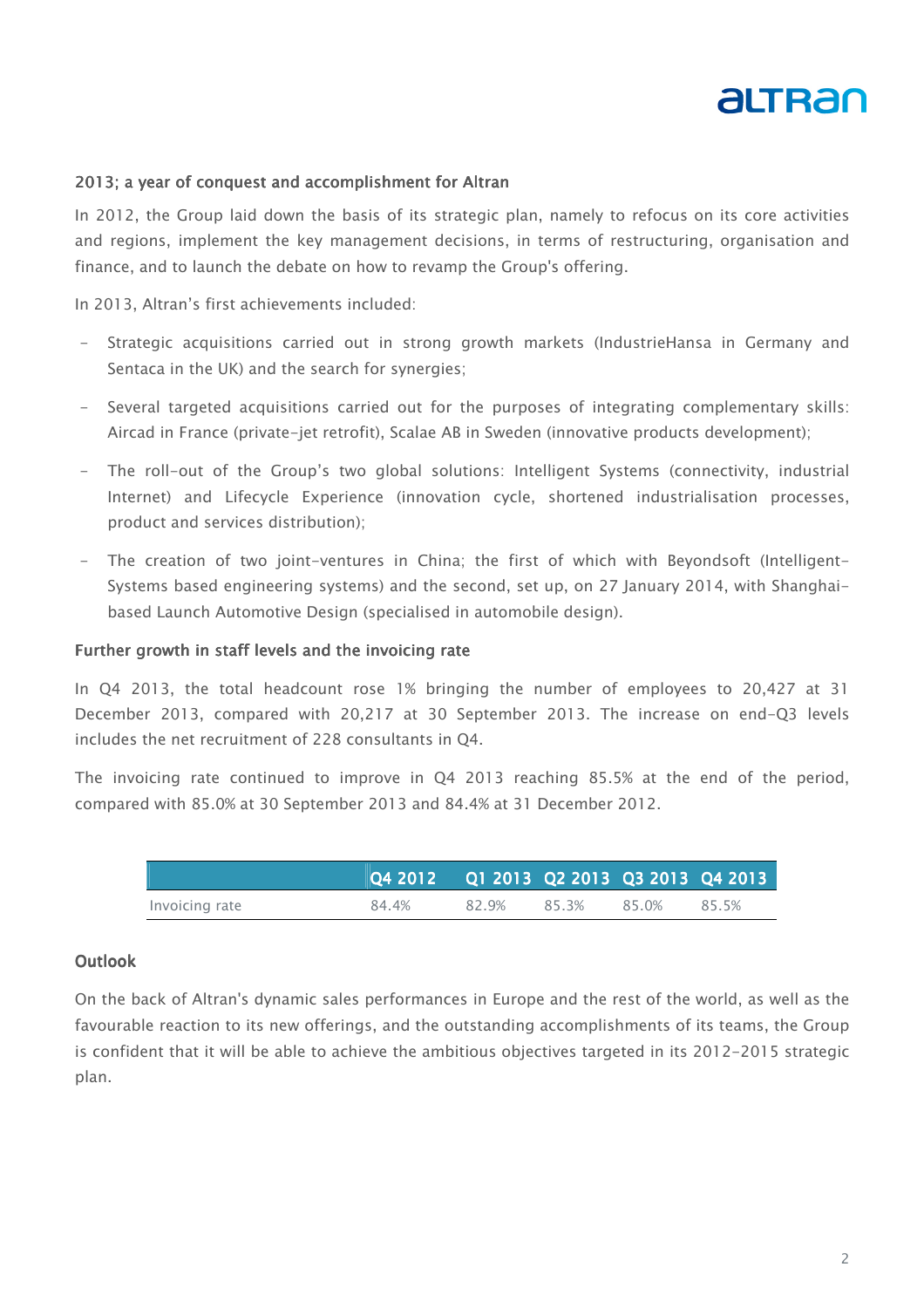

## 2013; a year of conquest and accomplishment for Altran

In 2012, the Group laid down the basis of its strategic plan, namely to refocus on its core activities and regions, implement the key management decisions, in terms of restructuring, organisation and finance, and to launch the debate on how to revamp the Group's offering.

In 2013, Altran's first achievements included:

- Strategic acquisitions carried out in strong growth markets (IndustrieHansa in Germany and Sentaca in the UK) and the search for synergies;
- Several targeted acquisitions carried out for the purposes of integrating complementary skills: Aircad in France (private-jet retrofit), Scalae AB in Sweden (innovative products development);
- The roll-out of the Group's two global solutions: Intelligent Systems (connectivity, industrial Internet) and Lifecycle Experience (innovation cycle, shortened industrialisation processes, product and services distribution);
- The creation of two joint-ventures in China; the first of which with Beyondsoft (Intelligent-Systems based engineering systems) and the second, set up, on 27 January 2014, with Shanghaibased Launch Automotive Design (specialised in automobile design).

#### Further growth in staff levels and the invoicing rate

In Q4 2013, the total headcount rose 1% bringing the number of employees to 20,427 at 31 December 2013, compared with 20,217 at 30 September 2013. The increase on end-Q3 levels includes the net recruitment of 228 consultants in Q4.

The invoicing rate continued to improve in Q4 2013 reaching 85.5% at the end of the period, compared with 85.0% at 30 September 2013 and 84.4% at 31 December 2012.

|                | Q4 2012       Q1 2013   Q2 2013   Q3 2013   Q4 2013 |       |       |       |       |
|----------------|-----------------------------------------------------|-------|-------|-------|-------|
| Invoicing rate | 84.4%                                               | 82.9% | 85.3% | 85.0% | 85.5% |

#### **Outlook**

On the back of Altran's dynamic sales performances in Europe and the rest of the world, as well as the favourable reaction to its new offerings, and the outstanding accomplishments of its teams, the Group is confident that it will be able to achieve the ambitious objectives targeted in its 2012-2015 strategic plan.